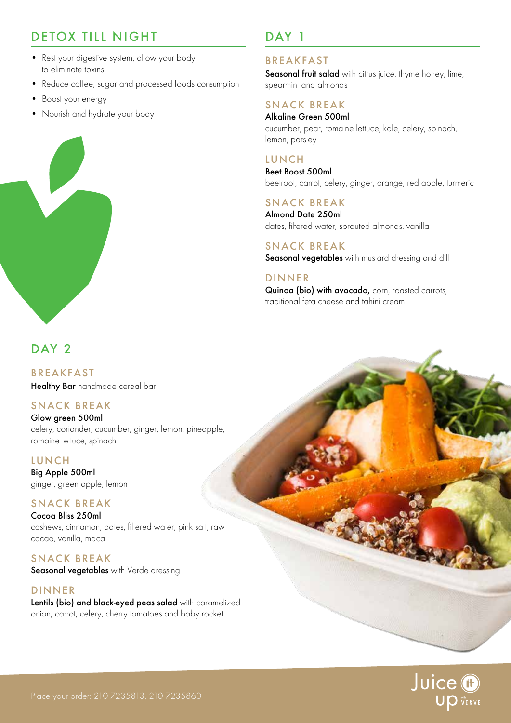# DETOX TILL NIGHT

- Rest your digestive system, allow your body to eliminate toxins
- Reduce coffee, sugar and processed foods consumption
- Boost your energy
- Nourish and hydrate your body



## DAY 1

## BREAKFAST

Seasonal fruit salad with citrus juice, thyme honey, lime, spearmint and almonds

## SNACK BREAK

Alkaline Green 500ml cucumber, pear, romaine lettuce, kale, celery, spinach, lemon, parsley

## **LUNCH**

Beet Boost 500ml beetroot, carrot, celery, ginger, orange, red apple, turmeric

### SNACK BREAK

Almond Date 250ml dates, filtered water, sprouted almonds, vanilla

#### SNACK BREAK Seasonal vegetables with mustard dressing and dill

## DINNER

Quinoa (bio) with avocado, corn, roasted carrots, traditional feta cheese and tahini cream

## DAY<sub>2</sub>

BREAKFAST Healthy Bar handmade cereal bar

## SNACK BREAK

Glow green 500ml celery, coriander, cucumber, ginger, lemon, pineapple, romaine lettuce, spinach

#### LUNCH

Big Apple 500ml ginger, green apple, lemon

#### SNACK BREAK

Cocoa Bliss 250ml cashews, cinnamon, dates, filtered water, pink salt, raw cacao, vanilla, maca

#### SNACK BREAK Seasonal vegetables with Verde dressing

DINNER Lentils (bio) and black-eyed peas salad with caramelized onion, carrot, celery, cherry tomatoes and baby rocket